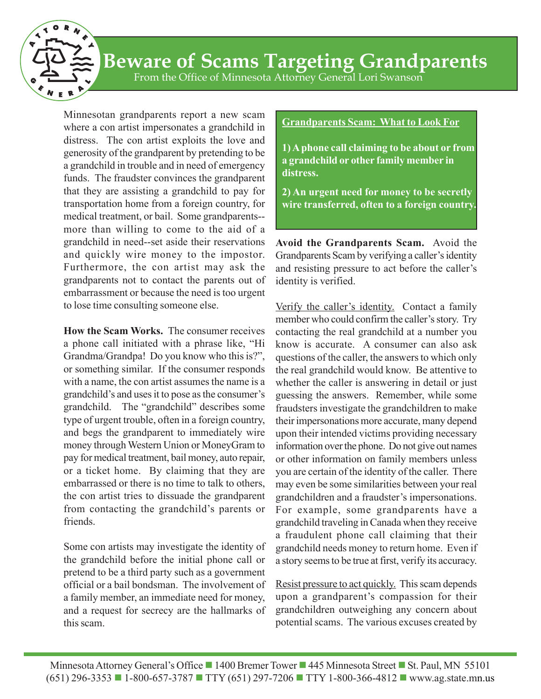

# **Beware of Scams Targeting Grandparents**

From the Office of Minnesota Attorney General Lori Swanson

Minnesotan grandparents report a new scam where a con artist impersonates a grandchild in distress. The con artist exploits the love and generosity of the grandparent by pretending to be a grandchild in trouble and in need of emergency funds. The fraudster convinces the grandparent that they are assisting a grandchild to pay for transportation home from a foreign country, for medical treatment, or bail. Some grandparents- more than willing to come to the aid of a grandchild in need--set aside their reservations and quickly wire money to the impostor. Furthermore, the con artist may ask the grandparents not to contact the parents out of embarrassment or because the need is too urgent to lose time consulting someone else.

**How the Scam Works.** The consumer receives a phone call initiated with a phrase like, "Hi Grandma/Grandpa! Do you know who this is?", or something similar. If the consumer responds with a name, the con artist assumes the name is a grandchild's and uses it to pose as the consumer's grandchild. The "grandchild" describes some type of urgent trouble, often in a foreign country, and begs the grandparent to immediately wire money through Western Union or MoneyGram to pay for medical treatment, bail money, auto repair, or a ticket home. By claiming that they are embarrassed or there is no time to talk to others, the con artist tries to dissuade the grandparent from contacting the grandchild's parents or friends.

Some con artists may investigate the identity of the grandchild before the initial phone call or pretend to be a third party such as a government official or a bail bondsman. The involvement of a family member, an immediate need for money, and a request for secrecy are the hallmarks of this scam.

## **Grandparents Scam: What to Look For**

**1) A phone call claiming to be about or from a grandchild or other family member in distress.**

**2) An urgent need for money to be secretly wire transferred, often to a foreign country.**

**Avoid the Grandparents Scam.** Avoid the Grandparents Scam by verifying a caller's identity and resisting pressure to act before the caller's identity is verified.

Verify the caller's identity. Contact a family member who could confirm the caller's story. Try contacting the real grandchild at a number you know is accurate. A consumer can also ask questions of the caller, the answers to which only the real grandchild would know. Be attentive to whether the caller is answering in detail or just guessing the answers. Remember, while some fraudsters investigate the grandchildren to make their impersonations more accurate, many depend upon their intended victims providing necessary information over the phone. Do not give out names or other information on family members unless you are certain of the identity of the caller. There may even be some similarities between your real grandchildren and a fraudster's impersonations. For example, some grandparents have a grandchild traveling in Canada when they receive a fraudulent phone call claiming that their grandchild needs money to return home. Even if a story seems to be true at first, verify its accuracy.

Resist pressure to act quickly. This scam depends upon a grandparent's compassion for their grandchildren outweighing any concern about potential scams. The various excuses created by